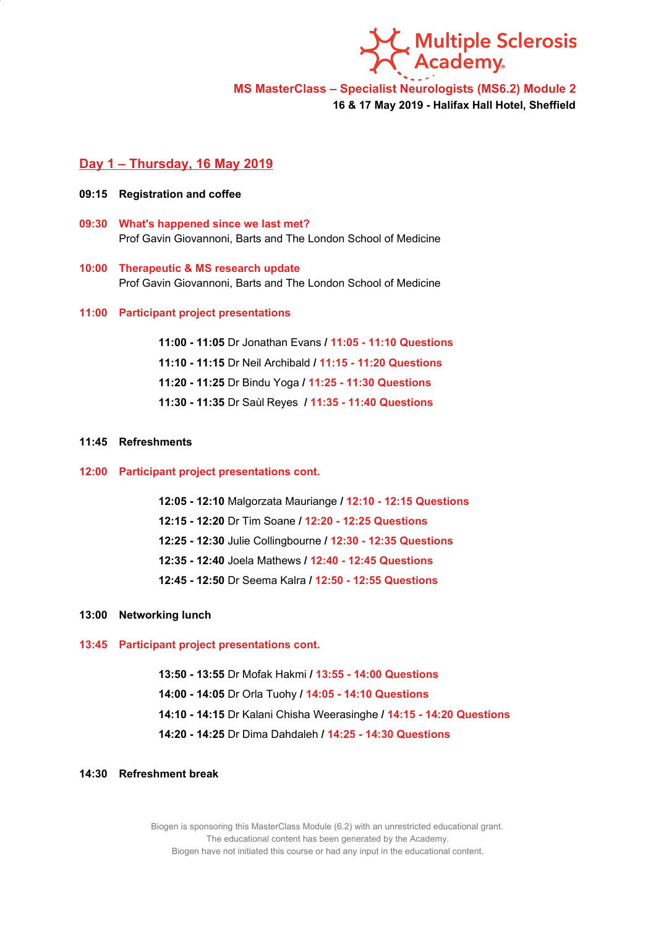**Multiple Sclerosis<br>Academy.** 

**MS MasterClass – Specialist Neurologists (MS6.2) Module 2**

**16 & 17 May 2019 - Halifax Hall Hotel, Sheffield**

## **Day 1 – Thursday, 16 May 2019**

- **09:15 Registration and coffee**
- **09:30 What's happened since we last met?** Prof Gavin Giovannoni, Barts and The London School of Medicine
- **10:00 Therapeutic & MS research update** Prof Gavin Giovannoni, Barts and The London School of Medicine

### **11:00 Participant project presentations**

**11:00 - 11:05** Dr Jonathan Evans **/ 11:05 - 11:10 Questions 11:10 - 11:15** Dr Neil Archibald **/ 11:15 - 11:20 Questions 11:20 - 11:25** Dr Bindu Yoga **/ 11:25 - 11:30 Questions 11:30 - 11:35** Dr Saùl Reyes **/ 11:35 - 11:40 Questions**

### **11:45 Refreshments**

### **12:00 Participant project presentations cont.**

**12:05 - 12:10** Malgorzata Mauriange **/ 12:10 - 12:15 Questions 12:15 - 12:20** Dr Tim Soane **/ 12:20 - 12:25 Questions 12:25 - 12:30** Julie Collingbourne **/ 12:30 - 12:35 Questions 12:35 - 12:40** Joela Mathews **/ 12:40 - 12:45 Questions 12:45 - 12:50** Dr Seema Kalra **/ 12:50 - 12:55 Questions**

## **13:00 Networking lunch**

### **13:45 Participant project presentations cont.**

**13:50 - 13:55** Dr Mofak Hakmi **/ 13:55 - 14:00 Questions 14:00 - 14:05** Dr Orla Tuohy **/ 14:05 - 14:10 Questions 14:10 - 14:15** Dr Kalani Chisha Weerasinghe **/ 14:15 - 14:20 Questions 14:20 - 14:25** Dr Dima Dahdaleh **/ 14:25 - 14:30 Questions**

# **14:30 Refreshment break**

Biogen is sponsoring this MasterClass Module (6.2) with an unrestricted educational grant. The educational content has been generated by the Academy. Biogen have not initiated this course or had any input in the educational content.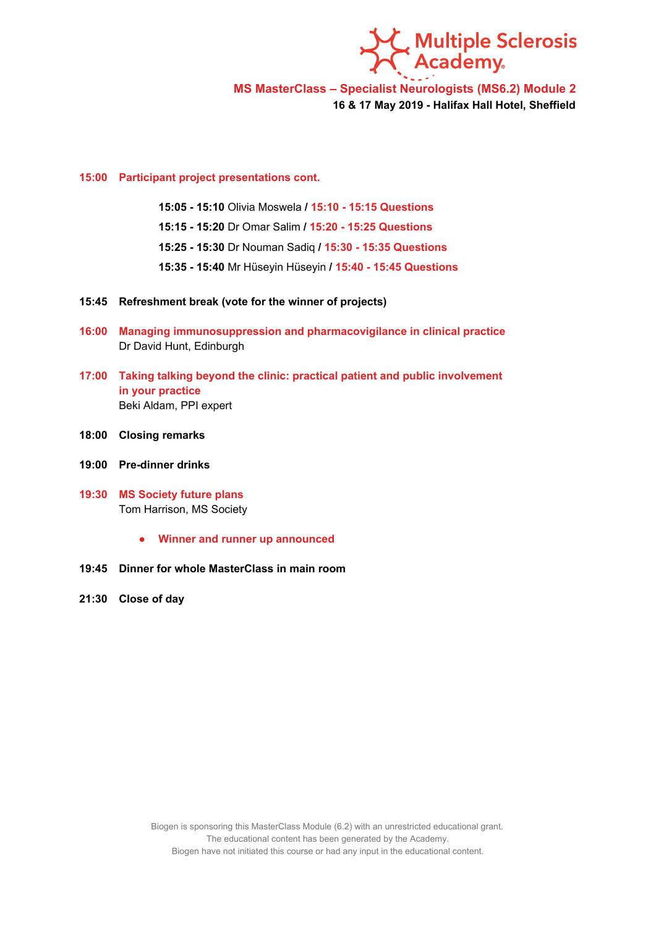

**MS MasterClass – Specialist Neurologists (MS6.2) Module 2**

**16 & 17 May 2019 - Halifax Hall Hotel, Sheffield**

## **15:00 Participant project presentations cont.**

**15:05 - 15:10** Olivia Moswela **/ 15:10 - 15:15 Questions**

**15:15 - 15:20** Dr Omar Salim **/ 15:20 - 15:25 Questions**

**15:25 - 15:30** Dr Nouman Sadiq **/ 15:30 - 15:35 Questions**

**15:35 - 15:40** Mr Hüseyin Hüseyin **/ 15:40 - 15:45 Questions**

- **15:45 Refreshment break (vote for the winner of projects)**
- **16:00 Managing immunosuppression and pharmacovigilance in clinical practice** Dr David Hunt, Edinburgh
- **17:00 Taking talking beyond the clinic: practical patient and public involvement in your practice** Beki Aldam, PPI expert
- **18:00 Closing remarks**
- **19:00 Pre-dinner drinks**
- **19:30 MS Society future plans** Tom Harrison, MS Society
	- **● Winner and runner up announced**
- **19:45 Dinner for whole MasterClass in main room**
- **21:30 Close of day**